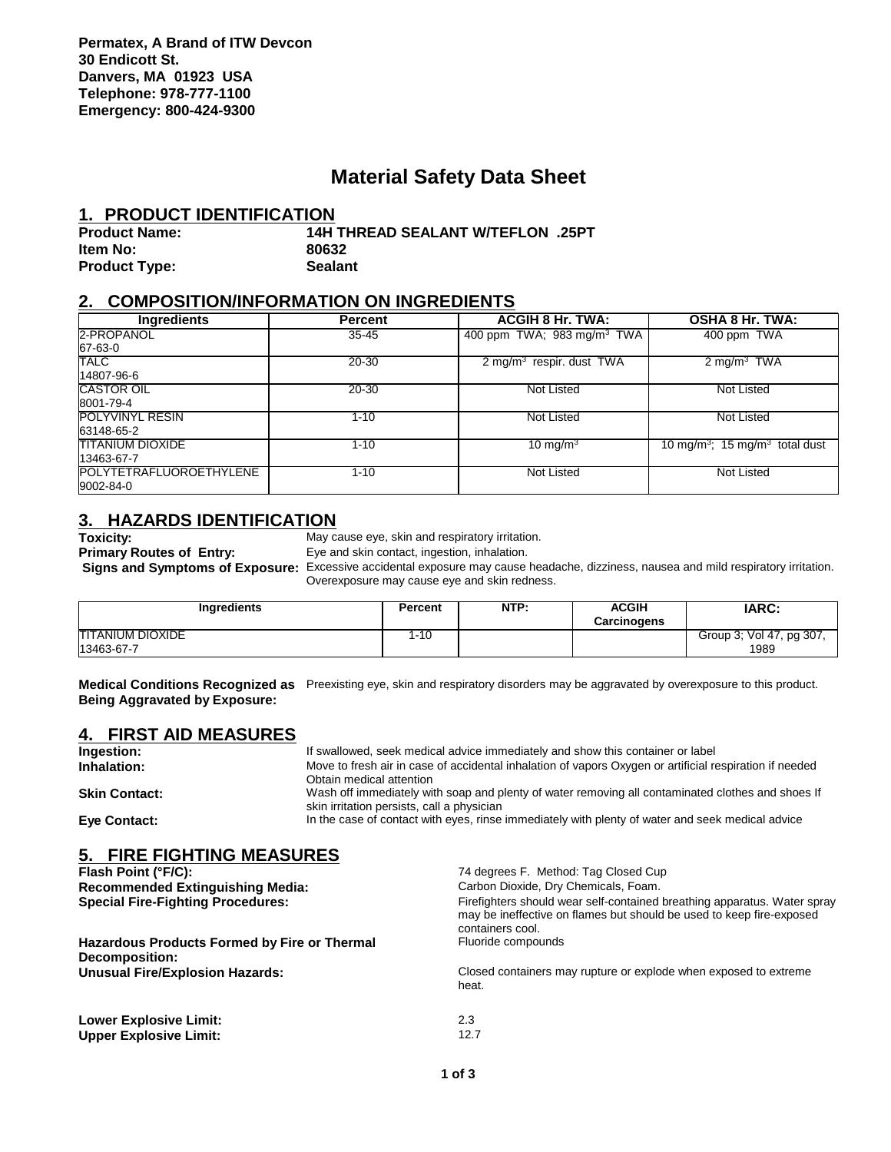## **Material Safety Data Sheet**

#### **1. PRODUCT IDENTIFICATION**

| <b>Product Name:</b> | 14H THREAD SEALANT W/TEFLON .25PT |
|----------------------|-----------------------------------|
| Item No:             | 80632                             |
| <b>Product Type:</b> | <b>Sealant</b>                    |

## **2. COMPOSITION/INFORMATION ON INGREDIENTS**

| <b>Ingredients</b>      | <b>Percent</b> | <b>ACGIH 8 Hr. TWA:</b>                | <b>OSHA 8 Hr. TWA:</b>                                 |  |
|-------------------------|----------------|----------------------------------------|--------------------------------------------------------|--|
| 2-PROPANOL              | $35 - 45$      | 400 ppm TWA; 983 mg/m <sup>3</sup> TWA | 400 ppm TWA                                            |  |
| 67-63-0                 |                |                                        |                                                        |  |
| <b>TALC</b>             | 20-30          | 2 mg/m $3$ respir. dust TWA            | 2 mg/m <sup>3</sup> TWA                                |  |
| 14807-96-6              |                |                                        |                                                        |  |
| <b>CASTOR OIL</b>       | 20-30          | Not Listed                             | Not Listed                                             |  |
| 8001-79-4               |                |                                        |                                                        |  |
| <b>POLYVINYL RESIN</b>  | $1 - 10$       | Not Listed                             | Not Listed                                             |  |
| 63148-65-2              |                |                                        |                                                        |  |
| <b>TITANIUM DIOXIDE</b> | $1 - 10$       | 10 mg/m $3$                            | 10 mg/m <sup>3</sup> ; 15 mg/m <sup>3</sup> total dust |  |
| 13463-67-7              |                |                                        |                                                        |  |
| POLYTETRAFLUOROETHYLENE | $1 - 10$       | Not Listed                             | Not Listed                                             |  |
| 9002-84-0               |                |                                        |                                                        |  |

# **3. HAZARDS IDENTIFICATION**<br>Toxicity: May c

**Toxicity:** May cause eye, skin and respiratory irritation.<br> **Primary Routes of Entry:** Eye and skin contact, ingestion, inhalation. Eye and skin contact, ingestion, inhalation.

 **Signs and Symptoms of Exposure:** Excessive accidental exposure may cause headache, dizziness, nausea and mild respiratory irritation. Overexposure may cause eye and skin redness.

| <b>Ingredients</b>                    | Percent | NTP: | <b>ACGIH</b><br><b>Carcinogens</b> | <b>IARC:</b>                     |
|---------------------------------------|---------|------|------------------------------------|----------------------------------|
| <b>TITANIUM DIOXIDE</b><br>13463-67-7 | 1-10    |      |                                    | Group 3; Vol 47, pg 307,<br>1989 |

**Medical Conditions Recognized as** Preexisting eye, skin and respiratory disorders may be aggravated by overexposure to this product. **Being Aggravated by Exposure:**

## **4. FIRST AID MEASURES**

| Ingestion:                                                            | If swallowed, seek medical advice immediately and show this container or label                                                                                                                                                                                                         |  |  |  |
|-----------------------------------------------------------------------|----------------------------------------------------------------------------------------------------------------------------------------------------------------------------------------------------------------------------------------------------------------------------------------|--|--|--|
| Inhalation:                                                           | Move to fresh air in case of accidental inhalation of vapors Oxygen or artificial respiration if needed<br>Obtain medical attention<br>Wash off immediately with soap and plenty of water removing all contaminated clothes and shoes If<br>skin irritation persists, call a physician |  |  |  |
| <b>Skin Contact:</b>                                                  |                                                                                                                                                                                                                                                                                        |  |  |  |
| Eye Contact:                                                          | In the case of contact with eyes, rinse immediately with plenty of water and seek medical advice                                                                                                                                                                                       |  |  |  |
| 5. FIRE FIGHTING MEASURES                                             |                                                                                                                                                                                                                                                                                        |  |  |  |
| Flash Point (°F/C):                                                   | 74 degrees F. Method: Tag Closed Cup                                                                                                                                                                                                                                                   |  |  |  |
| <b>Recommended Extinguishing Media:</b>                               | Carbon Dioxide, Dry Chemicals, Foam.                                                                                                                                                                                                                                                   |  |  |  |
| <b>Special Fire-Fighting Procedures:</b>                              | Firefighters should wear self-contained breathing apparatus. Water spray<br>may be ineffective on flames but should be used to keep fire-exposed<br>containers cool.                                                                                                                   |  |  |  |
| <b>Hazardous Products Formed by Fire or Thermal</b><br>Decomposition: | Fluoride compounds                                                                                                                                                                                                                                                                     |  |  |  |
| <b>Unusual Fire/Explosion Hazards:</b>                                | Closed containers may rupture or explode when exposed to extreme<br>heat.                                                                                                                                                                                                              |  |  |  |
| <b>Lower Explosive Limit:</b>                                         | 2.3                                                                                                                                                                                                                                                                                    |  |  |  |
| <b>Upper Explosive Limit:</b>                                         | 12.7                                                                                                                                                                                                                                                                                   |  |  |  |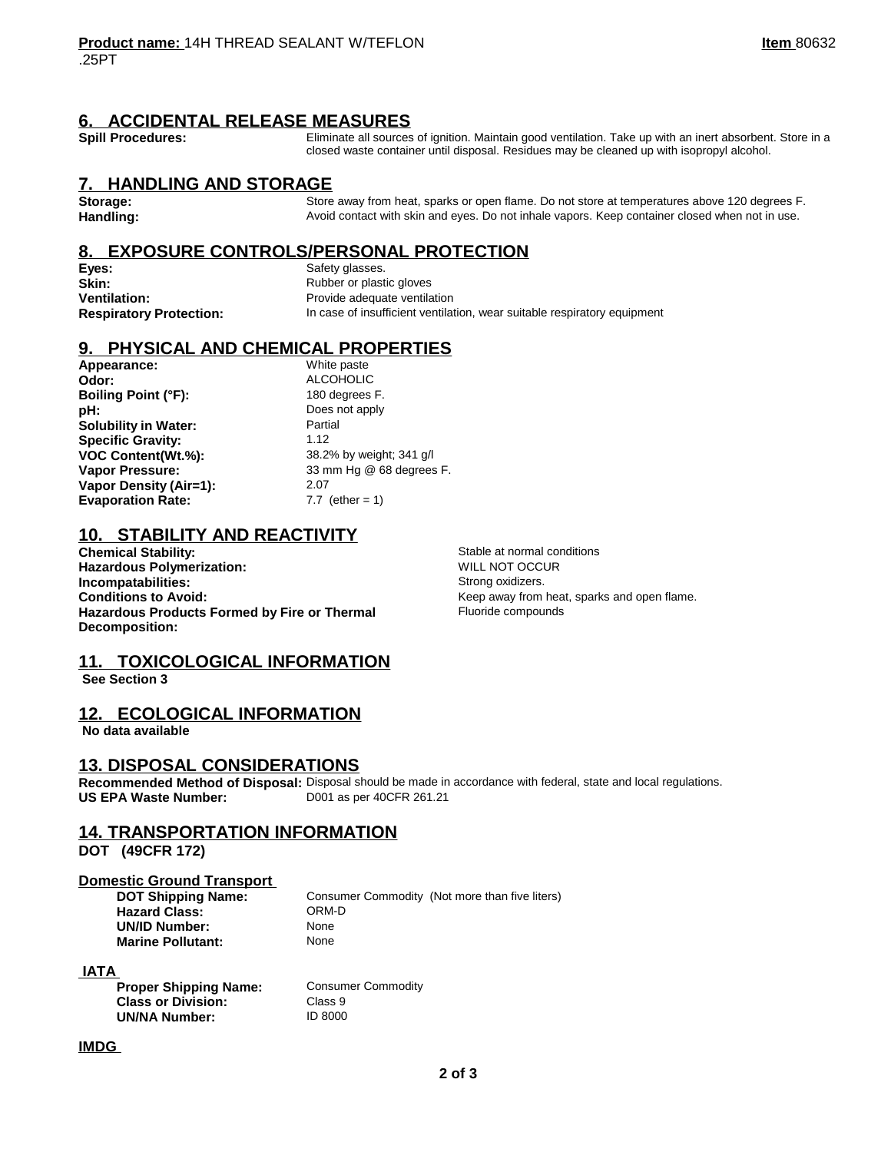## **6. ACCIDENTAL RELEASE MEASURES**

Spill Procedures: **Eliminate all sources of ignition.** Maintain good ventilation. Take up with an inert absorbent. Store in a closed waste container until disposal. Residues may be cleaned up with isopropyl alcohol.

#### **7. HANDLING AND STORAGE**

Storage: Store away from heat, sparks or open flame. Do not store at temperatures above 120 degrees F.<br>**Handling:** Store and the Avoid contact with skin and eyes. Do not inhale vapors. Keep container closed when not in use **Handling:** Avoid contact with skin and eyes. Do not inhale vapors. Keep container closed when not in use.

## **8. EXPOSURE CONTROLS/PERSONAL PROTECTION**

**Eyes:** Safety glasses. **Skin:** Rubber or plastic gloves

**Ventilation:** Provide adequate ventilation **Respiratory Protection:** In case of insufficient ventilation, wear suitable respiratory equipment

## **9. PHYSICAL AND CHEMICAL PROPERTIES**

**Appearance:** White paste **Odor:** ALCOHOLIC **Boiling Point (°F):** 180 degrees F. **pH:** Does not apply **Solubility in Water:** Partial **Specific Gravity:** 1.12 **VOC Content(Wt.%):** 38.2% by weight; 341 g/l **Vapor Pressure:** 33 mm Hg @ 68 degrees F. **Vapor Density (Air=1):** 2.07 **Evaporation Rate:** 7.7 (ether = 1)

## **10. STABILITY AND REACTIVITY**

**Chemical Stability:**  $\begin{array}{ccc}\n\text{Standard Notation:} \\
\text{Standard Notation:} \\
\text{Normal conditions}\n\end{array}$ **Hazardous Polymerization: Incompatabilities:** Strong oxidizers. **Conditions to Avoid:** Conditions to Avoid: The Conditions of Avoid: The Research of Avoid: The Research of Keep away from heat, sparks and open flame. **Hazardous Products Formed by Fire or Thermal Decomposition:**

Fluoride compounds

## **11. TOXICOLOGICAL INFORMATION**

 **See Section 3** 

## **12. ECOLOGICAL INFORMATION**

 **No data available** 

#### **13. DISPOSAL CONSIDERATIONS**

**Recommended Method of Disposal:** Disposal should be made in accordance with federal, state and local regulations. **US EPA Waste Number:** D001 as per 40CFR 261.21

**Consumer Commodity** 

**Class 9 UN/NA Number:** ID 8000

## **14. TRANSPORTATION INFORMATION**

**DOT (49CFR 172)** 

## **Domestic Ground Transport**<br>DOT Shipping Name:

**Hazard Class:** ORM-<br> **UN/ID Number:** None **UN/ID Number:** None<br> **Marine Pollutant:** None **Marine Pollutant:** 

**Consumer Commodity (Not more than five liters)<br>ORM-D** 

#### **IATA**

| <b>Proper Shipping Name:</b> |  |
|------------------------------|--|
| <b>Class or Division:</b>    |  |
| <b>UN/NA Number:</b>         |  |

**IMDG**